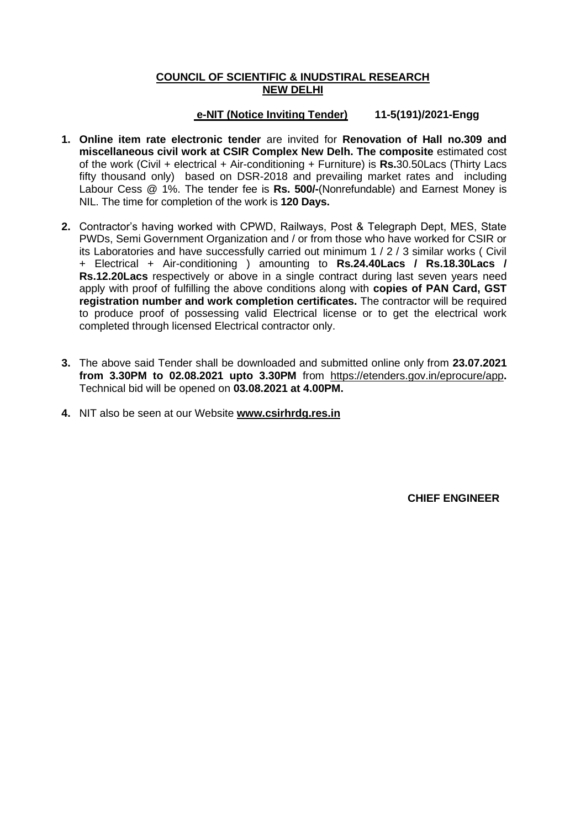# **COUNCIL OF SCIENTIFIC & INUDSTIRAL RESEARCH NEW DELHI**

# **e-NIT (Notice Inviting Tender) 11-5(191)/2021-Engg**

- **1. Online item rate electronic tender** are invited for **Renovation of Hall no.309 and miscellaneous civil work at CSIR Complex New Delh. The composite** estimated cost of the work (Civil + electrical + Air-conditioning + Furniture) is **Rs.**30.50Lacs (Thirty Lacs fifty thousand only) based on DSR-2018 and prevailing market rates and including Labour Cess @ 1%. The tender fee is **Rs. 500/-**(Nonrefundable) and Earnest Money is NIL. The time for completion of the work is **120 Days.**
- **2.** Contractor's having worked with CPWD, Railways, Post & Telegraph Dept, MES, State PWDs, Semi Government Organization and / or from those who have worked for CSIR or its Laboratories and have successfully carried out minimum 1 / 2 / 3 similar works ( Civil + Electrical + Air-conditioning ) amounting to **Rs.24.40Lacs / Rs.18.30Lacs / Rs.12.20Lacs** respectively or above in a single contract during last seven years need apply with proof of fulfilling the above conditions along with **copies of PAN Card, GST registration number and work completion certificates.** The contractor will be required to produce proof of possessing valid Electrical license or to get the electrical work completed through licensed Electrical contractor only.
- **3.** The above said Tender shall be downloaded and submitted online only from **23.07.2021 from 3.30PM to 02.08.2021 upto 3.30PM** from <https://etenders.gov.in/eprocure/app>**.**  Technical bid will be opened on **03.08.2021 at 4.00PM.**
- **4.** NIT also be seen at our Website **www.csirhrdg.res.in**

 **CHIEF ENGINEER**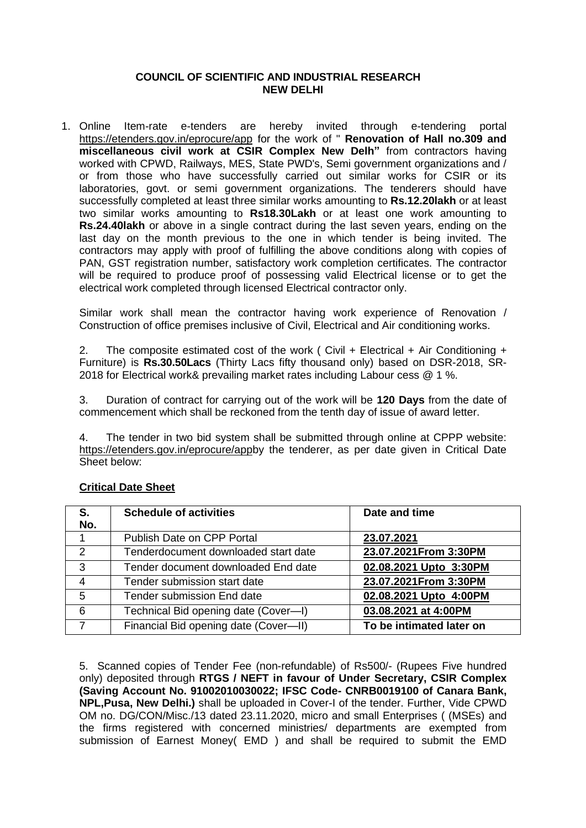### **COUNCIL OF SCIENTIFIC AND INDUSTRIAL RESEARCH NEW DELHI**

1. Online Item-rate e-tenders are hereby invited through e-tendering portal <https://etenders.gov.in/eprocure/app> for the work of " **Renovation of Hall no.309 and miscellaneous civil work at CSIR Complex New Delh"** from contractors having worked with CPWD, Railways, MES, State PWD's, Semi government organizations and / or from those who have successfully carried out similar works for CSIR or its laboratories, govt. or semi government organizations. The tenderers should have successfully completed at least three similar works amounting to **Rs.12.20lakh** or at least two similar works amounting to **Rs18.30Lakh** or at least one work amounting to **Rs.24.40lakh** or above in a single contract during the last seven years, ending on the last day on the month previous to the one in which tender is being invited. The contractors may apply with proof of fulfilling the above conditions along with copies of PAN, GST registration number, satisfactory work completion certificates. The contractor will be required to produce proof of possessing valid Electrical license or to get the electrical work completed through licensed Electrical contractor only.

Similar work shall mean the contractor having work experience of Renovation / Construction of office premises inclusive of Civil, Electrical and Air conditioning works.

2. The composite estimated cost of the work ( Civil  $+$  Electrical  $+$  Air Conditioning  $+$ Furniture) is **Rs.30.50Lacs** (Thirty Lacs fifty thousand only) based on DSR-2018, SR-2018 for Electrical work& prevailing market rates including Labour cess @ 1 %.

3. Duration of contract for carrying out of the work will be **120 Days** from the date of commencement which shall be reckoned from the tenth day of issue of award letter.

4. The tender in two bid system shall be submitted through online at CPPP website: [https://etenders.gov.in/eprocure/appb](https://etenders.gov.in/eprocure/app)y the tenderer, as per date given in Critical Date Sheet below:

| S.<br>No.      | <b>Schedule of activities</b>           | Date and time            |
|----------------|-----------------------------------------|--------------------------|
|                | Publish Date on CPP Portal              | 23.07.2021               |
| 2              | Tenderdocument downloaded start date    | 23.07.2021From 3:30PM    |
| 3              | Tender document downloaded End date     | 02.08.2021 Upto 3:30PM   |
| $\overline{4}$ | Tender submission start date            | 23.07.2021From 3:30PM    |
| 5              | <b>Tender submission End date</b>       | 02.08.2021 Upto 4:00PM   |
| 6              | Technical Bid opening date (Cover--I)   | 03.08.2021 at 4:00PM     |
|                | Financial Bid opening date (Cover---II) | To be intimated later on |

# **Critical Date Sheet**

5. Scanned copies of Tender Fee (non-refundable) of Rs500/- (Rupees Five hundred only) deposited through **RTGS / NEFT in favour of Under Secretary, CSIR Complex (Saving Account No. 91002010030022; IFSC Code- CNRB0019100 of Canara Bank, NPL,Pusa, New Delhi.)** shall be uploaded in Cover-I of the tender. Further, Vide CPWD OM no. DG/CON/Misc./13 dated 23.11.2020, micro and small Enterprises ( (MSEs) and the firms registered with concerned ministries/ departments are exempted from submission of Earnest Money( EMD ) and shall be required to submit the EMD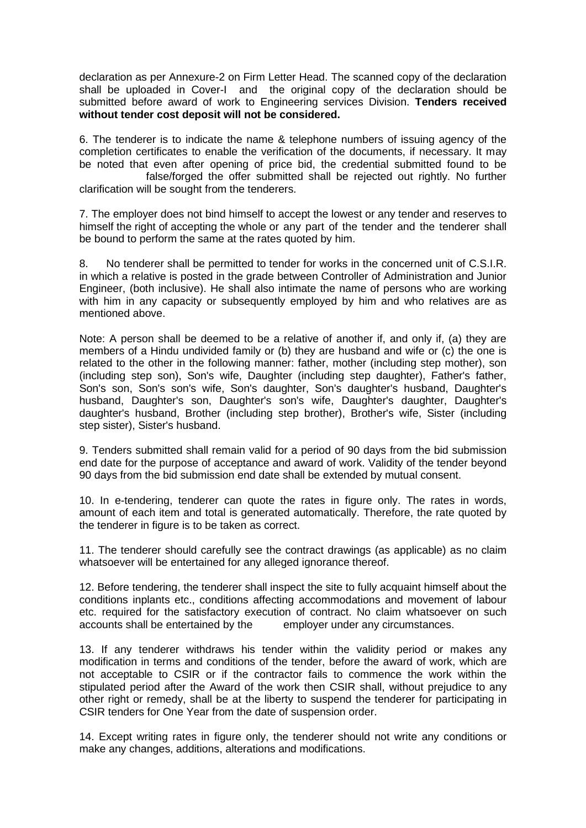declaration as per Annexure-2 on Firm Letter Head. The scanned copy of the declaration shall be uploaded in Cover-I and the original copy of the declaration should be submitted before award of work to Engineering services Division. **Tenders received without tender cost deposit will not be considered.**

6. The tenderer is to indicate the name & telephone numbers of issuing agency of the completion certificates to enable the verification of the documents, if necessary. It may be noted that even after opening of price bid, the credential submitted found to be false/forged the offer submitted shall be rejected out rightly. No further clarification will be sought from the tenderers.

7. The employer does not bind himself to accept the lowest or any tender and reserves to himself the right of accepting the whole or any part of the tender and the tenderer shall be bound to perform the same at the rates quoted by him.

8. No tenderer shall be permitted to tender for works in the concerned unit of C.S.I.R. in which a relative is posted in the grade between Controller of Administration and Junior Engineer, (both inclusive). He shall also intimate the name of persons who are working with him in any capacity or subsequently employed by him and who relatives are as mentioned above.

Note: A person shall be deemed to be a relative of another if, and only if, (a) they are members of a Hindu undivided family or (b) they are husband and wife or (c) the one is related to the other in the following manner: father, mother (including step mother), son (including step son), Son's wife, Daughter (including step daughter), Father's father, Son's son, Son's son's wife, Son's daughter, Son's daughter's husband, Daughter's husband, Daughter's son, Daughter's son's wife, Daughter's daughter, Daughter's daughter's husband, Brother (including step brother), Brother's wife, Sister (including step sister), Sister's husband.

9. Tenders submitted shall remain valid for a period of 90 days from the bid submission end date for the purpose of acceptance and award of work. Validity of the tender beyond 90 days from the bid submission end date shall be extended by mutual consent.

10. In e-tendering, tenderer can quote the rates in figure only. The rates in words, amount of each item and total is generated automatically. Therefore, the rate quoted by the tenderer in figure is to be taken as correct.

11. The tenderer should carefully see the contract drawings (as applicable) as no claim whatsoever will be entertained for any alleged ignorance thereof.

12. Before tendering, the tenderer shall inspect the site to fully acquaint himself about the conditions inplants etc., conditions affecting accommodations and movement of labour etc. required for the satisfactory execution of contract. No claim whatsoever on such accounts shall be entertained by the employer under any circumstances.

13. If any tenderer withdraws his tender within the validity period or makes any modification in terms and conditions of the tender, before the award of work, which are not acceptable to CSIR or if the contractor fails to commence the work within the stipulated period after the Award of the work then CSIR shall, without prejudice to any other right or remedy, shall be at the liberty to suspend the tenderer for participating in CSIR tenders for One Year from the date of suspension order.

14. Except writing rates in figure only, the tenderer should not write any conditions or make any changes, additions, alterations and modifications.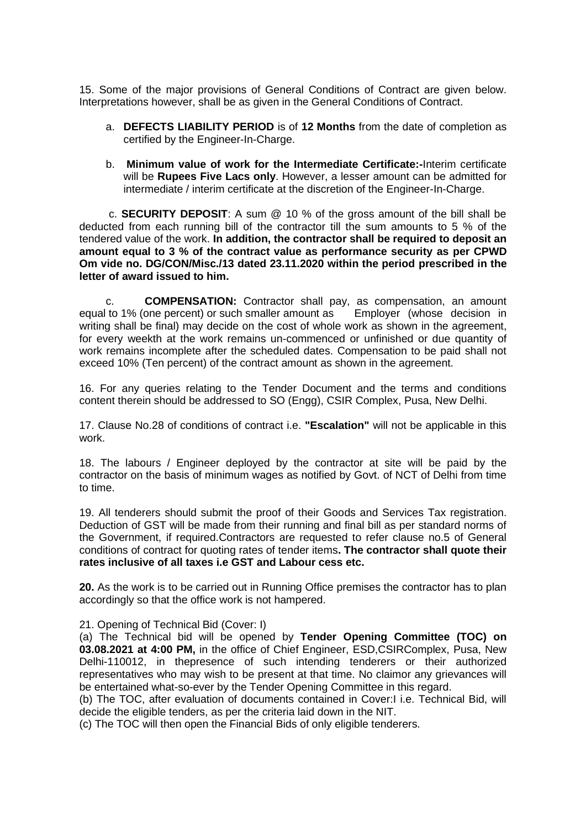15. Some of the major provisions of General Conditions of Contract are given below. Interpretations however, shall be as given in the General Conditions of Contract.

- a. **DEFECTS LIABILITY PERIOD** is of **12 Months** from the date of completion as certified by the Engineer-In-Charge.
- b. **Minimum value of work for the Intermediate Certificate:-**Interim certificate will be **Rupees Five Lacs only**. However, a lesser amount can be admitted for intermediate / interim certificate at the discretion of the Engineer-In-Charge.

c. **SECURITY DEPOSIT**: A sum @ 10 % of the gross amount of the bill shall be deducted from each running bill of the contractor till the sum amounts to 5 % of the tendered value of the work. **In addition, the contractor shall be required to deposit an amount equal to 3 % of the contract value as performance security as per CPWD Om vide no. DG/CON/Misc./13 dated 23.11.2020 within the period prescribed in the letter of award issued to him.**

c. **COMPENSATION:** Contractor shall pay, as compensation, an amount equal to 1% (one percent) or such smaller amount as Employer (whose decision in writing shall be final) may decide on the cost of whole work as shown in the agreement, for every weekth at the work remains un-commenced or unfinished or due quantity of work remains incomplete after the scheduled dates. Compensation to be paid shall not exceed 10% (Ten percent) of the contract amount as shown in the agreement.

16. For any queries relating to the Tender Document and the terms and conditions content therein should be addressed to SO (Engg), CSIR Complex, Pusa, New Delhi.

17. Clause No.28 of conditions of contract i.e. **"Escalation"** will not be applicable in this work.

18. The labours / Engineer deployed by the contractor at site will be paid by the contractor on the basis of minimum wages as notified by Govt. of NCT of Delhi from time to time.

19. All tenderers should submit the proof of their Goods and Services Tax registration. Deduction of GST will be made from their running and final bill as per standard norms of the Government, if required.Contractors are requested to refer clause no.5 of General conditions of contract for quoting rates of tender items**. The contractor shall quote their rates inclusive of all taxes i.e GST and Labour cess etc.**

**20.** As the work is to be carried out in Running Office premises the contractor has to plan accordingly so that the office work is not hampered.

#### 21. Opening of Technical Bid (Cover: I)

(a) The Technical bid will be opened by **Tender Opening Committee (TOC) on 03.08.2021 at 4:00 PM,** in the office of Chief Engineer, ESD,CSIRComplex, Pusa, New Delhi-110012, in thepresence of such intending tenderers or their authorized representatives who may wish to be present at that time. No claimor any grievances will be entertained what-so-ever by the Tender Opening Committee in this regard.

(b) The TOC, after evaluation of documents contained in Cover:I i.e. Technical Bid, will decide the eligible tenders, as per the criteria laid down in the NIT.

(c) The TOC will then open the Financial Bids of only eligible tenderers.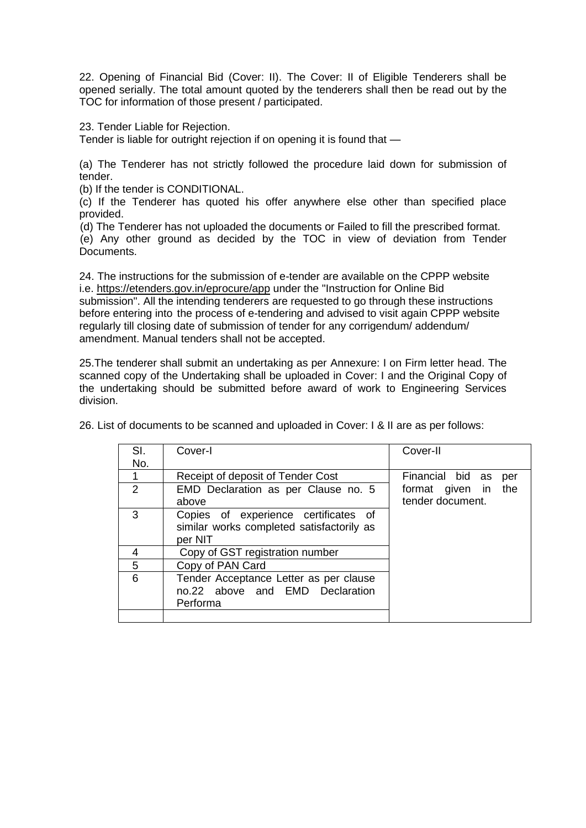22. Opening of Financial Bid (Cover: II). The Cover: II of Eligible Tenderers shall be opened serially. The total amount quoted by the tenderers shall then be read out by the TOC for information of those present / participated.

23. Tender Liable for Rejection.

Tender is liable for outright rejection if on opening it is found that —

(a) The Tenderer has not strictly followed the procedure laid down for submission of tender.

(b) If the tender is CONDITIONAL.

(c) If the Tenderer has quoted his offer anywhere else other than specified place provided.

(d) The Tenderer has not uploaded the documents or Failed to fill the prescribed format.

(e) Any other ground as decided by the TOC in view of deviation from Tender Documents.

24. The instructions for the submission of e-tender are available on the CPPP website i.e.<https://etenders.gov.in/eprocure/app> under the "Instruction for Online Bid submission". All the intending tenderers are requested to go through these instructions before entering into the process of e-tendering and advised to visit again CPPP website regularly till closing date of submission of tender for any corrigendum/ addendum/ amendment. Manual tenders shall not be accepted.

25.The tenderer shall submit an undertaking as per Annexure: I on Firm letter head. The scanned copy of the Undertaking shall be uploaded in Cover: I and the Original Copy of the undertaking should be submitted before award of work to Engineering Services division.

|                | List of documents to be scanned and uploaded in Cover. I & if are as per follows.            |                         |
|----------------|----------------------------------------------------------------------------------------------|-------------------------|
| SI.            | Cover-I                                                                                      | Cover-II                |
| No.            |                                                                                              |                         |
|                | Receipt of deposit of Tender Cost                                                            | Financial bid as<br>per |
| $\overline{2}$ | EMD Declaration as per Clause no. 5                                                          | format given in the     |
|                | above                                                                                        | tender document.        |
| 3              | Copies of experience certificates of<br>similar works completed satisfactorily as<br>per NIT |                         |
| 4              | Copy of GST registration number                                                              |                         |
| 5              | Copy of PAN Card                                                                             |                         |

26. List of documents to be scanned and uploaded in Cover: I & II are as per follows:

6 Tender Acceptance Letter as per clause

Performa

no.22 above and EMD Declaration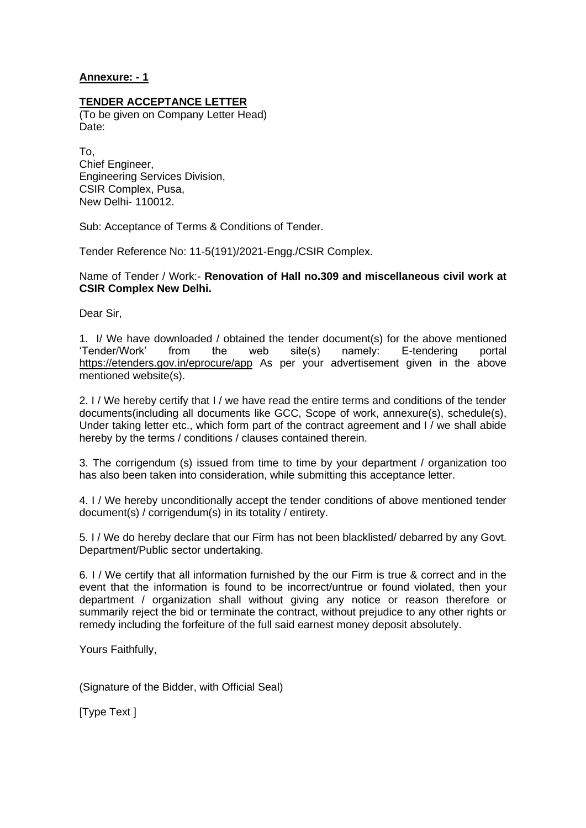### **Annexure: - 1**

#### **TENDER ACCEPTANCE LETTER**

(To be given on Company Letter Head) Date:

To, Chief Engineer, Engineering Services Division, CSIR Complex, Pusa, New Delhi- 110012.

Sub: Acceptance of Terms & Conditions of Tender.

Tender Reference No: 11-5(191)/2021-Engg./CSIR Complex.

Name of Tender / Work:- **Renovation of Hall no.309 and miscellaneous civil work at CSIR Complex New Delhi.**

Dear Sir,

1. I/ We have downloaded / obtained the tender document(s) for the above mentioned 'Tender/Work' from the web site(s) namely: E-tendering portal <https://etenders.gov.in/eprocure/app> As per your advertisement given in the above mentioned website(s).

2. I / We hereby certify that I / we have read the entire terms and conditions of the tender documents(including all documents like GCC, Scope of work, annexure(s), schedule(s), Under taking letter etc., which form part of the contract agreement and I / we shall abide hereby by the terms / conditions / clauses contained therein.

3. The corrigendum (s) issued from time to time by your department / organization too has also been taken into consideration, while submitting this acceptance letter.

4. I / We hereby unconditionally accept the tender conditions of above mentioned tender document(s) / corrigendum(s) in its totality / entirety.

5. I / We do hereby declare that our Firm has not been blacklisted/ debarred by any Govt. Department/Public sector undertaking.

6. I / We certify that all information furnished by the our Firm is true & correct and in the event that the information is found to be incorrect/untrue or found violated, then your department / organization shall without giving any notice or reason therefore or summarily reject the bid or terminate the contract, without prejudice to any other rights or remedy including the forfeiture of the full said earnest money deposit absolutely.

Yours Faithfully,

(Signature of the Bidder, with Official Seal)

[Type Text ]